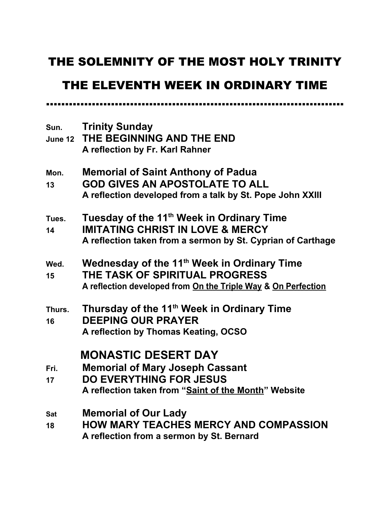# THE SOLEMNITY OF THE MOST HOLY TRINITY

## THE ELEVENTH WEEK IN ORDINARY TIME

……………………………………………………………………

**Sun. Trinity Sunday June 12 THE BEGINNING AND THE END A reflection by Fr. Karl Rahner Mon. Memorial of Saint Anthony of Padua 13 GOD GIVES AN APOSTOLATE TO ALL A reflection developed from a talk by St. Pope John XXIII Tues. Tuesday of the 11th Week in Ordinary Time 14 IMITATING CHRIST IN LOVE & MERCY A reflection taken from a sermon by St. Cyprian of Carthage Wed. Wednesday of the 11th Week in Ordinary Time 15 THE TASK OF SPIRITUAL PROGRESS A reflection developed from On the Triple Way & On Perfection Thurs. Thursday of the 11th Week in Ordinary Time 16 DEEPING OUR PRAYER A reflection by Thomas Keating, OCSO MONASTIC DESERT DAY Fri. Memorial of Mary Joseph Cassant 17 DO EVERYTHING FOR JESUS A reflection taken from "Saint of the Month" Website Sat Memorial of Our Lady 18 HOW MARY TEACHES MERCY AND COMPASSION A reflection from a sermon by St. Bernard**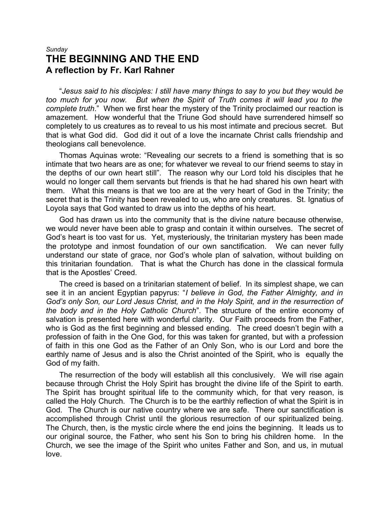### *Sunday* **THE BEGINNING AND THE END A reflection by Fr. Karl Rahner**

"*Jesus said to his disciples: I still have many things to say to you but they* would *be too much for you now. But when the Spirit of Truth comes it will lead you to the complete truth*." When we first hear the mystery of the Trinity proclaimed our reaction is amazement. How wonderful that the Triune God should have surrendered himself so completely to us creatures as to reveal to us his most intimate and precious secret. But that is what God did. God did it out of a love the incarnate Christ calls friendship and theologians call benevolence.

Thomas Aquinas wrote: "Revealing our secrets to a friend is something that is so intimate that two hears are as one; for whatever we reveal to our friend seems to stay in the depths of our own heart still". The reason why our Lord told his disciples that he would no longer call them servants but friends is that he had shared his own heart with them. What this means is that we too are at the very heart of God in the Trinity; the secret that is the Trinity has been revealed to us, who are only creatures. St. Ignatius of Loyola says that God wanted to draw us into the depths of his heart.

God has drawn us into the community that is the divine nature because otherwise, we would never have been able to grasp and contain it within ourselves. The secret of God's heart is too vast for us. Yet, mysteriously, the trinitarian mystery has been made the prototype and inmost foundation of our own sanctification. We can never fully understand our state of grace, nor God's whole plan of salvation, without building on this trinitarian foundation. That is what the Church has done in the classical formula that is the Apostles' Creed.

The creed is based on a trinitarian statement of belief. In its simplest shape, we can see it in an ancient Egyptian papyrus: "*I believe in God, the Father Almighty, and in God's only Son, our Lord Jesus Christ, and in the Holy Spirit, and in the resurrection of the body and in the Holy Catholic Church*". The structure of the entire economy of salvation is presented here with wonderful clarity. Our Faith proceeds from the Father, who is God as the first beginning and blessed ending. The creed doesn't begin with a profession of faith in the One God, for this was taken for granted, but with a profession of faith in this one God as the Father of an Only Son, who is our Lord and bore the earthly name of Jesus and is also the Christ anointed of the Spirit, who is equally the God of my faith.

The resurrection of the body will establish all this conclusively. We will rise again because through Christ the Holy Spirit has brought the divine life of the Spirit to earth. The Spirit has brought spiritual life to the community which, for that very reason, is called the Holy Church. The Church is to be the earthly reflection of what the Spirit is in God. The Church is our native country where we are safe. There our sanctification is accomplished through Christ until the glorious resurrection of our spiritualized being. The Church, then, is the mystic circle where the end joins the beginning. It leads us to our original source, the Father, who sent his Son to bring his children home. In the Church, we see the image of the Spirit who unites Father and Son, and us, in mutual love.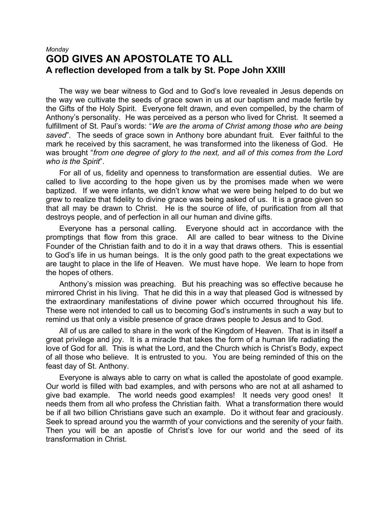#### *Monday* **GOD GIVES AN APOSTOLATE TO ALL A reflection developed from a talk by St. Pope John XXIII**

The way we bear witness to God and to God's love revealed in Jesus depends on the way we cultivate the seeds of grace sown in us at our baptism and made fertile by the Gifts of the Holy Spirit. Everyone felt drawn, and even compelled, by the charm of Anthony's personality. He was perceived as a person who lived for Christ. It seemed a fulfillment of St. Paul's words: "*We are the aroma of Christ among those who are being saved*". The seeds of grace sown in Anthony bore abundant fruit. Ever faithful to the mark he received by this sacrament, he was transformed into the likeness of God. He was brought "*from one degree of glory to the next, and all of this comes from the Lord who is the Spirit*".

For all of us, fidelity and openness to transformation are essential duties. We are called to live according to the hope given us by the promises made when we were baptized. If we were infants, we didn't know what we were being helped to do but we grew to realize that fidelity to divine grace was being asked of us. It is a grace given so that all may be drawn to Christ. He is the source of life, of purification from all that destroys people, and of perfection in all our human and divine gifts.

Everyone has a personal calling. Everyone should act in accordance with the promptings that flow from this grace. All are called to bear witness to the Divine Founder of the Christian faith and to do it in a way that draws others. This is essential to God's life in us human beings. It is the only good path to the great expectations we are taught to place in the life of Heaven. We must have hope. We learn to hope from the hopes of others.

Anthony's mission was preaching. But his preaching was so effective because he mirrored Christ in his living. That he did this in a way that pleased God is witnessed by the extraordinary manifestations of divine power which occurred throughout his life. These were not intended to call us to becoming God's instruments in such a way but to remind us that only a visible presence of grace draws people to Jesus and to God.

All of us are called to share in the work of the Kingdom of Heaven. That is in itself a great privilege and joy. It is a miracle that takes the form of a human life radiating the love of God for all. This is what the Lord, and the Church which is Christ's Body, expect of all those who believe. It is entrusted to you. You are being reminded of this on the feast day of St. Anthony.

Everyone is always able to carry on what is called the apostolate of good example. Our world is filled with bad examples, and with persons who are not at all ashamed to give bad example. The world needs good examples! It needs very good ones! It needs them from all who profess the Christian faith. What a transformation there would be if all two billion Christians gave such an example. Do it without fear and graciously. Seek to spread around you the warmth of your convictions and the serenity of your faith. Then you will be an apostle of Christ's love for our world and the seed of its transformation in Christ.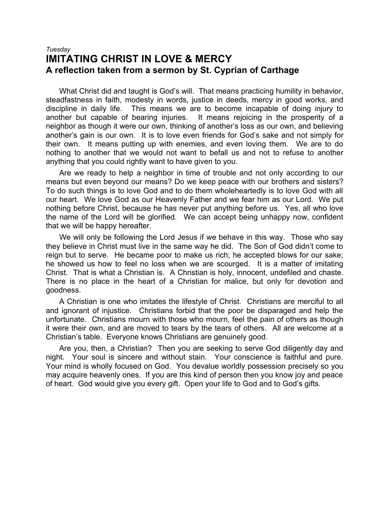#### *Tuesday* **IMITATING CHRIST IN LOVE & MERCY A reflection taken from a sermon by St. Cyprian of Carthage**

What Christ did and taught is God's will. That means practicing humility in behavior, steadfastness in faith, modesty in words, justice in deeds, mercy in good works, and discipline in daily life. This means we are to become incapable of doing injury to another but capable of bearing injuries. It means rejoicing in the prosperity of a neighbor as though it were our own, thinking of another's loss as our own, and believing another's gain is our own. It is to love even friends for God's sake and not simply for their own. It means putting up with enemies, and even loving them. We are to do nothing to another that we would not want to befall us and not to refuse to another anything that you could rightly want to have given to you.

Are we ready to help a neighbor in time of trouble and not only according to our means but even beyond our means? Do we keep peace with our brothers and sisters? To do such things is to love God and to do them wholeheartedly is to love God with all our heart. We love God as our Heavenly Father and we fear him as our Lord. We put nothing before Christ, because he has never put anything before us. Yes, all who love the name of the Lord will be glorified. We can accept being unhappy now, confident that we will be happy hereafter.

We will only be following the Lord Jesus if we behave in this way. Those who say they believe in Christ must live in the same way he did. The Son of God didn't come to reign but to serve. He became poor to make us rich; he accepted blows for our sake; he showed us how to feel no loss when we are scourged. It is a matter of imitating Christ. That is what a Christian is. A Christian is holy, innocent, undefiled and chaste. There is no place in the heart of a Christian for malice, but only for devotion and goodness.

A Christian is one who imitates the lifestyle of Christ. Christians are merciful to all and ignorant of injustice. Christians forbid that the poor be disparaged and help the unfortunate. Christians mourn with those who mourn, feel the pain of others as though it were their own, and are moved to tears by the tears of others. All are welcome at a Christian's table. Everyone knows Christians are genuinely good.

Are you, then, a Christian? Then you are seeking to serve God diligently day and night. Your soul is sincere and without stain. Your conscience is faithful and pure. Your mind is wholly focused on God. You devalue worldly possession precisely so you may acquire heavenly ones. If you are this kind of person then you know joy and peace of heart. God would give you every gift. Open your life to God and to God's gifts.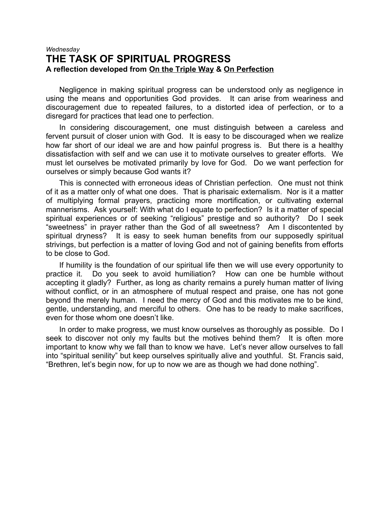#### *Wednesday* **THE TASK OF SPIRITUAL PROGRESS A reflection developed from On the Triple Way & On Perfection**

Negligence in making spiritual progress can be understood only as negligence in using the means and opportunities God provides. It can arise from weariness and discouragement due to repeated failures, to a distorted idea of perfection, or to a disregard for practices that lead one to perfection.

In considering discouragement, one must distinguish between a careless and fervent pursuit of closer union with God. It is easy to be discouraged when we realize how far short of our ideal we are and how painful progress is. But there is a healthy dissatisfaction with self and we can use it to motivate ourselves to greater efforts. We must let ourselves be motivated primarily by love for God. Do we want perfection for ourselves or simply because God wants it?

This is connected with erroneous ideas of Christian perfection. One must not think of it as a matter only of what one does. That is pharisaic externalism. Nor is it a matter of multiplying formal prayers, practicing more mortification, or cultivating external mannerisms. Ask yourself: With what do I equate to perfection? Is it a matter of special spiritual experiences or of seeking "religious" prestige and so authority? Do I seek "sweetness" in prayer rather than the God of all sweetness? Am I discontented by spiritual dryness? It is easy to seek human benefits from our supposedly spiritual strivings, but perfection is a matter of loving God and not of gaining benefits from efforts to be close to God.

If humility is the foundation of our spiritual life then we will use every opportunity to practice it. Do you seek to avoid humiliation? How can one be humble without accepting it gladly? Further, as long as charity remains a purely human matter of living without conflict, or in an atmosphere of mutual respect and praise, one has not gone beyond the merely human. I need the mercy of God and this motivates me to be kind, gentle, understanding, and merciful to others. One has to be ready to make sacrifices, even for those whom one doesn't like.

In order to make progress, we must know ourselves as thoroughly as possible. Do I seek to discover not only my faults but the motives behind them? It is often more important to know why we fall than to know we have. Let's never allow ourselves to fall into "spiritual senility" but keep ourselves spiritually alive and youthful. St. Francis said, "Brethren, let's begin now, for up to now we are as though we had done nothing".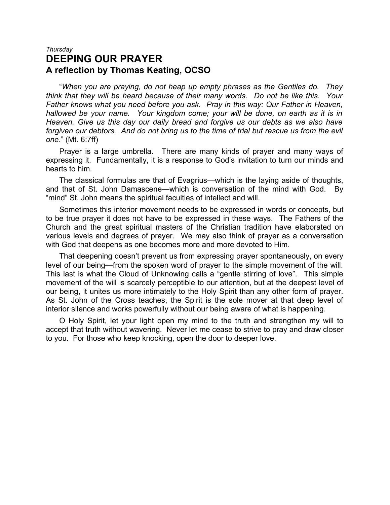#### *Thursday* **DEEPING OUR PRAYER A reflection by Thomas Keating, OCSO**

"*When you are praying, do not heap up empty phrases as the Gentiles do. They think that they will be heard because of their many words. Do not be like this. Your Father knows what you need before you ask. Pray in this way: Our Father in Heaven, hallowed be your name. Your kingdom come; your will be done, on earth as it is in Heaven. Give us this day our daily bread and forgive us our debts as we also have forgiven our debtors. And do not bring us to the time of trial but rescue us from the evil one*." (Mt. 6:7ff)

Prayer is a large umbrella. There are many kinds of prayer and many ways of expressing it. Fundamentally, it is a response to God's invitation to turn our minds and hearts to him.

The classical formulas are that of Evagrius—which is the laying aside of thoughts, and that of St. John Damascene—which is conversation of the mind with God. By "mind" St. John means the spiritual faculties of intellect and will.

Sometimes this interior movement needs to be expressed in words or concepts, but to be true prayer it does not have to be expressed in these ways. The Fathers of the Church and the great spiritual masters of the Christian tradition have elaborated on various levels and degrees of prayer. We may also think of prayer as a conversation with God that deepens as one becomes more and more devoted to Him.

That deepening doesn't prevent us from expressing prayer spontaneously, on every level of our being—from the spoken word of prayer to the simple movement of the will. This last is what the Cloud of Unknowing calls a "gentle stirring of love". This simple movement of the will is scarcely perceptible to our attention, but at the deepest level of our being, it unites us more intimately to the Holy Spirit than any other form of prayer. As St. John of the Cross teaches, the Spirit is the sole mover at that deep level of interior silence and works powerfully without our being aware of what is happening.

O Holy Spirit, let your light open my mind to the truth and strengthen my will to accept that truth without wavering. Never let me cease to strive to pray and draw closer to you. For those who keep knocking, open the door to deeper love.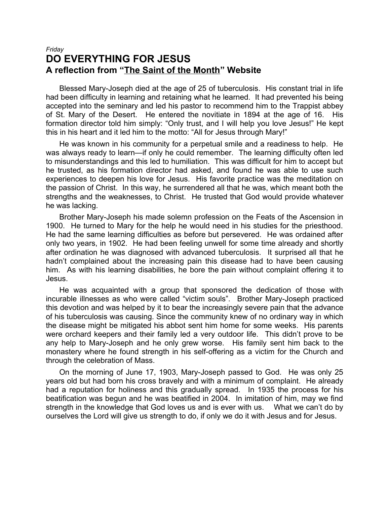#### *Friday* **DO EVERYTHING FOR JESUS A reflection from "The Saint of the Month" Website**

Blessed Mary-Joseph died at the age of 25 of tuberculosis. His constant trial in life had been difficulty in learning and retaining what he learned. It had prevented his being accepted into the seminary and led his pastor to recommend him to the Trappist abbey of St. Mary of the Desert. He entered the novitiate in 1894 at the age of 16. His formation director told him simply: "Only trust, and I will help you love Jesus!" He kept this in his heart and it led him to the motto: "All for Jesus through Mary!"

He was known in his community for a perpetual smile and a readiness to help. He was always ready to learn—if only he could remember. The learning difficulty often led to misunderstandings and this led to humiliation. This was difficult for him to accept but he trusted, as his formation director had asked, and found he was able to use such experiences to deepen his love for Jesus. His favorite practice was the meditation on the passion of Christ. In this way, he surrendered all that he was, which meant both the strengths and the weaknesses, to Christ. He trusted that God would provide whatever he was lacking.

Brother Mary-Joseph his made solemn profession on the Feats of the Ascension in 1900. He turned to Mary for the help he would need in his studies for the priesthood. He had the same learning difficulties as before but persevered. He was ordained after only two years, in 1902. He had been feeling unwell for some time already and shortly after ordination he was diagnosed with advanced tuberculosis. It surprised all that he hadn't complained about the increasing pain this disease had to have been causing him. As with his learning disabilities, he bore the pain without complaint offering it to Jesus.

He was acquainted with a group that sponsored the dedication of those with incurable illnesses as who were called "victim souls". Brother Mary-Joseph practiced this devotion and was helped by it to bear the increasingly severe pain that the advance of his tuberculosis was causing. Since the community knew of no ordinary way in which the disease might be mitigated his abbot sent him home for some weeks. His parents were orchard keepers and their family led a very outdoor life. This didn't prove to be any help to Mary-Joseph and he only grew worse. His family sent him back to the monastery where he found strength in his self-offering as a victim for the Church and through the celebration of Mass.

On the morning of June 17, 1903, Mary-Joseph passed to God. He was only 25 years old but had born his cross bravely and with a minimum of complaint. He already had a reputation for holiness and this gradually spread. In 1935 the process for his beatification was begun and he was beatified in 2004. In imitation of him, may we find strength in the knowledge that God loves us and is ever with us. What we can't do by ourselves the Lord will give us strength to do, if only we do it with Jesus and for Jesus.